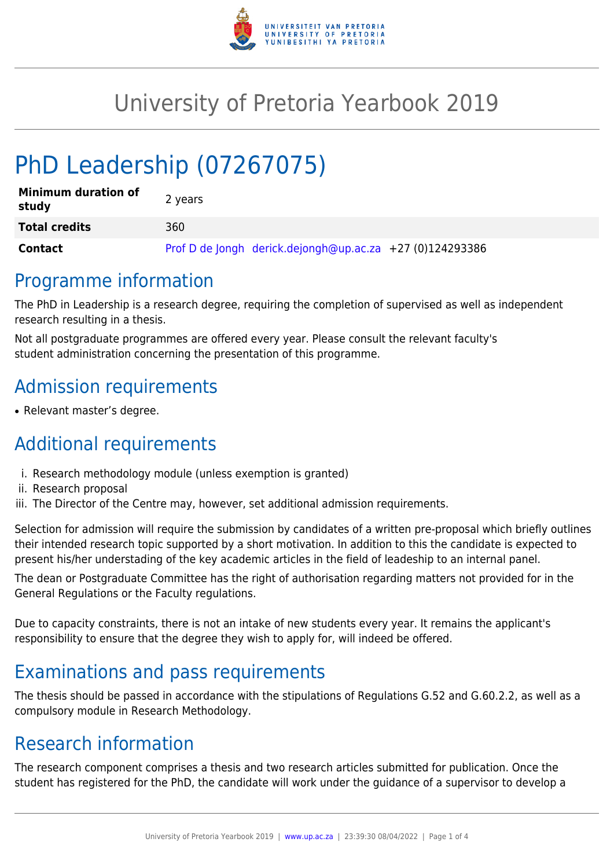

## University of Pretoria Yearbook 2019

# PhD Leadership (07267075)

| <b>Minimum duration of</b><br>study | 2 years                                                  |
|-------------------------------------|----------------------------------------------------------|
| <b>Total credits</b>                | 360                                                      |
| <b>Contact</b>                      | Prof D de Jongh derick.dejongh@up.ac.za +27 (0)124293386 |

#### Programme information

The PhD in Leadership is a research degree, requiring the completion of supervised as well as independent research resulting in a thesis.

Not all postgraduate programmes are offered every year. Please consult the relevant faculty's student administration concerning the presentation of this programme.

## Admission requirements

• Relevant master's degree.

## Additional requirements

- i. Research methodology module (unless exemption is granted)
- ii. Research proposal
- iii. The Director of the Centre may, however, set additional admission requirements.

Selection for admission will require the submission by candidates of a written pre-proposal which briefly outlines their intended research topic supported by a short motivation. In addition to this the candidate is expected to present his/her understading of the key academic articles in the field of leadeship to an internal panel.

The dean or Postgraduate Committee has the right of authorisation regarding matters not provided for in the General Regulations or the Faculty regulations.

Due to capacity constraints, there is not an intake of new students every year. It remains the applicant's responsibility to ensure that the degree they wish to apply for, will indeed be offered.

### Examinations and pass requirements

The thesis should be passed in accordance with the stipulations of Regulations G.52 and G.60.2.2, as well as a compulsory module in Research Methodology.

#### Research information

The research component comprises a thesis and two research articles submitted for publication. Once the student has registered for the PhD, the candidate will work under the guidance of a supervisor to develop a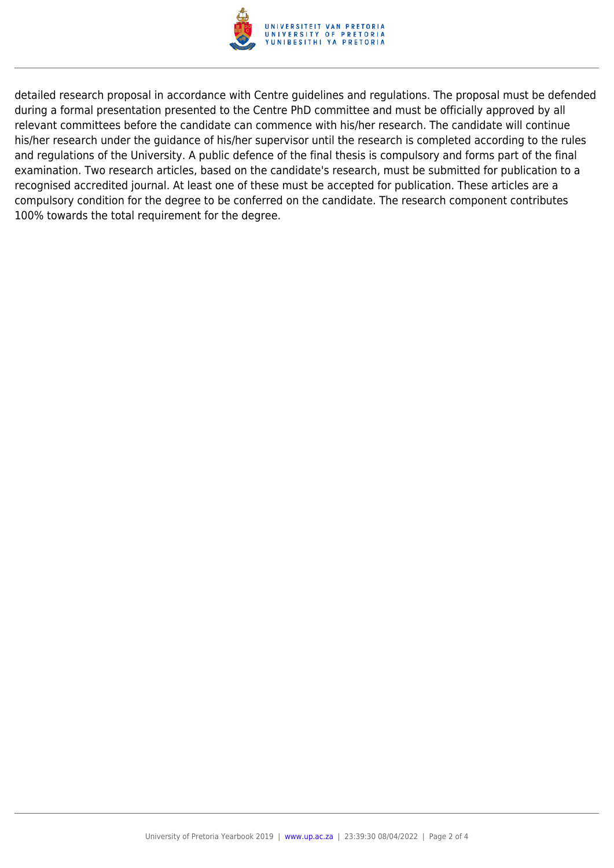

detailed research proposal in accordance with Centre guidelines and regulations. The proposal must be defended during a formal presentation presented to the Centre PhD committee and must be officially approved by all relevant committees before the candidate can commence with his/her research. The candidate will continue his/her research under the guidance of his/her supervisor until the research is completed according to the rules and regulations of the University. A public defence of the final thesis is compulsory and forms part of the final examination. Two research articles, based on the candidate's research, must be submitted for publication to a recognised accredited journal. At least one of these must be accepted for publication. These articles are a compulsory condition for the degree to be conferred on the candidate. The research component contributes 100% towards the total requirement for the degree.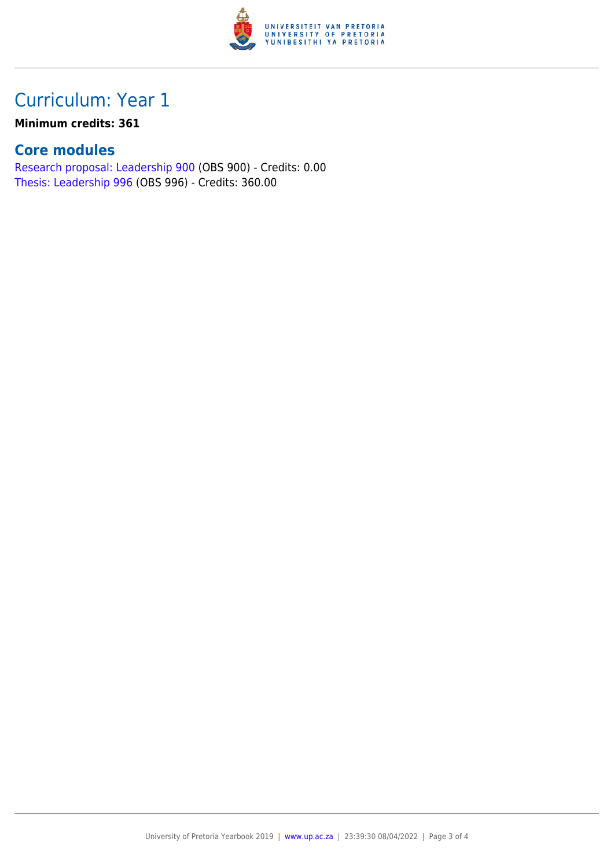

### Curriculum: Year 1

#### **Minimum credits: 361**

#### **Core modules**

[Research proposal: Leadership 900](https://www.up.ac.za/faculty-of-education/yearbooks/2019/modules/view/OBS 900) (OBS 900) - Credits: 0.00 [Thesis: Leadership 996](https://www.up.ac.za/faculty-of-education/yearbooks/2019/modules/view/OBS 996) (OBS 996) - Credits: 360.00